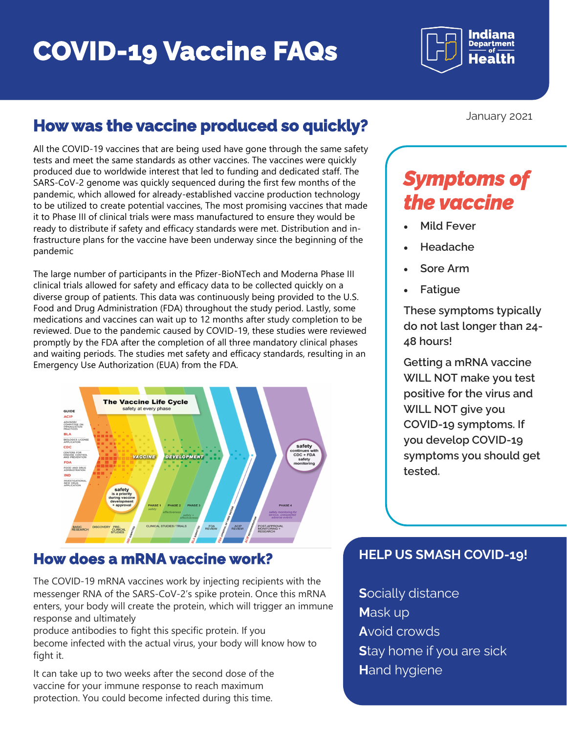## **COVID-19 Vaccine FAQs**

Indiana **Department** 

#### **How was the vaccine produced so quickly?**

All the COVID-19 vaccines that are being used have gone through the same safety tests and meet the same standards as other vaccines. The vaccines were quickly produced due to worldwide interest that led to funding and dedicated staff. The SARS-CoV-2 genome was quickly sequenced during the first few months of the pandemic, which allowed for already-established vaccine production technology to be utilized to create potential vaccines, The most promising vaccines that made it to Phase III of clinical trials were mass manufactured to ensure they would be ready to distribute if safety and efficacy standards were met. Distribution and infrastructure plans for the vaccine have been underway since the beginning of the pandemic

The large number of participants in the Pfizer-BioNTech and Moderna Phase III clinical trials allowed for safety and efficacy data to be collected quickly on a diverse group of patients. This data was continuously being provided to the U.S. Food and Drug Administration (FDA) throughout the study period. Lastly, some medications and vaccines can wait up to 12 months after study completion to be reviewed. Due to the pandemic caused by COVID-19, these studies were reviewed promptly by the FDA after the completion of all three mandatory clinical phases and waiting periods. The studies met safety and efficacy standards, resulting in an Emergency Use Authorization (EUA) from the FDA.



#### **How does a mRNA vaccine work?**

The COVID-19 mRNA vaccines work by injecting recipients with the messenger RNA of the SARS-CoV-2's spike protein. Once this mRNA enters, your body will create the protein, which will trigger an immune response and ultimately

produce antibodies to fight this specific protein. If you become infected with the actual virus, your body will know how to fight it.

It can take up to two weeks after the second dose of the vaccine for your immune response to reach maximum protection. You could become infected during this time.

January 2021

### *Symptoms of the vaccine*

- **Mild Fever**
- **Headache**
- **Sore Arm**
- **Fatigue**

**These symptoms typically do not last longer than 24- 48 hours!**

**Getting a mRNA vaccine WILL NOT make you test positive for the virus and WILL NOT give you COVID-19 symptoms. If you develop COVID-19 symptoms you should get tested.**

#### **HELP US SMASH COVID-19!**

**S**ocially distance **M**ask up **A**void crowds **S**tay home if you are sick **H**and hygiene